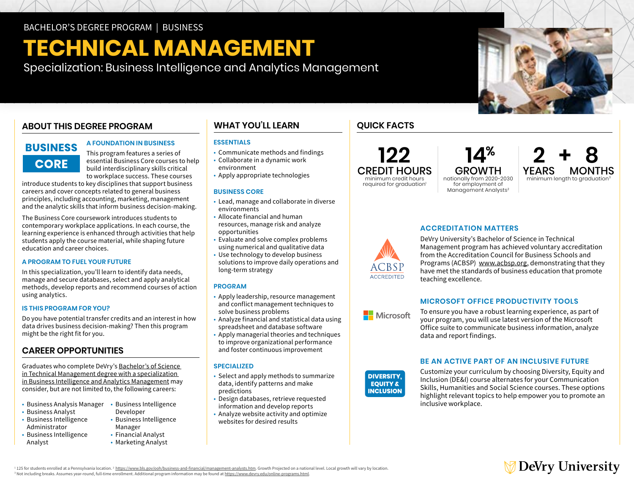# **TECHNICAL MANAGEMENT**

Specialization: Business Intelligence and Analytics Management

# **ABOUT THIS DEGREE PROGRAM**

# **BUSINESS CORE**

### **A FOUNDATION IN BUSINESS**

This program features a series of essential Business Core courses to help build interdisciplinary skills critical to workplace success. These courses

introduce students to key disciplines that support business careers and cover concepts related to general business principles, including accounting, marketing, management and the analytic skills that inform business decision-making.

The Business Core coursework introduces students to contemporary workplace applications. In each course, the learning experience is enhanced through activities that help students apply the course material, while shaping future education and career choices.

#### **A PROGRAM TO FUEL YOUR FUTURE**

In this specialization, you'll learn to identify data needs, manage and secure databases, select and apply analytical methods, develop reports and recommend courses of action using analytics.

#### **IS THIS PROGRAM FOR YOU?**

Do you have potential transfer credits and an interest in how data drives business decision-making? Then this program might be the right fit for you.

# **CAREER OPPORTUNITIES**

Graduates who complete DeVry's [Bachelor's of Science](https://www.devry.edu/online-programs/bachelors-degrees/business/business-intelligence-and-analytics-management-specialization.html)  [in Technical Management degree with a specialization](https://www.devry.edu/online-programs/bachelors-degrees/business/business-intelligence-and-analytics-management-specialization.html)  [in Business Intelligence and Analytics Management](https://www.devry.edu/online-programs/bachelors-degrees/business/business-intelligence-and-analytics-management-specialization.html) may consider, but are not limited to, the following careers:

- Business Analysis Manager Business Intelligence
- Business Analyst
- Business Intelligence Administrator
- Business Intelligence Analyst
- Developer • Business Intelligence Manager
- Financial Analyst
- Marketing Analyst

# **WHAT YOU'LL LEARN**

## **ESSENTIALS**

- Communicate methods and findings
- Collaborate in a dynamic work environment
- Apply appropriate technologies

### **BUSINESS CORE**

- Lead, manage and collaborate in diverse environments
- Allocate financial and human resources, manage risk and analyze opportunities
- Evaluate and solve complex problems using numerical and qualitative data
- Use technology to develop business solutions to improve daily operations and long-term strategy

#### **PROGRAM**

- Apply leadership, resource management and conflict management techniques to solve business problems
- Analyze financial and statistical data using spreadsheet and database software
- Apply managerial theories and techniques to improve organizational performance and foster continuous improvement

#### **SPECIALIZED**

- Select and apply methods to summarize data, identify patterns and make predictions
- Design databases, retrieve requested information and develop reports
- Analyze website activity and optimize websites for desired results

# **QUICK FACTS**

**122** CREDIT HOURS minimum credit hours required for graduation<sup>1</sup>

GROWTH nationally from 2020-2030 for employment of Management Analysts<sup>2</sup>

 **14%**

**2+8 YEARS MONTHS**<br>minimum length to graduation<sup>3</sup>



# **ACCREDITATION MATTERS**

DeVry University's Bachelor of Science in Technical Management program has achieved voluntary accreditation from the Accreditation Council for Business Schools and Programs (ACBSP) [www.acbsp.org](http://www.acbsp.org), demonstrating that they have met the standards of business education that promote teaching excellence.

# **MICROSOFT OFFICE PRODUCTIVITY TOOLS**

**Nicrosoft** 

To ensure you have a robust learning experience, as part of your program, you will use latest version of the Microsoft Office suite to communicate business information, analyze data and report findings. **DIVERSITY,**

# **BE AN ACTIVE PART OF AN INCLUSIVE FUTURE**



Customize your curriculum by choosing Diversity, Equity and Inclusion (DE&I) course alternates for your Communication Skills, Humanities and Social Science courses. These options highlight relevant topics to help empower you to promote an inclusive workplace.



<sup>1</sup> 125 for students enrolled at a Pennsylvania location. <sup>2</sup> https://www.bls.gov/ooh/business-and-financial/management-analysts.htm. Growth Projected on a national level. Local growth will vary by location.<br>3 Not includin <sup>3</sup> Not including breaks. Assumes year-round, full-time enrollment. Additional program information may be found at [https://www.devry.edu/](https://www.devry.edu/online-programs.html)online-programs.html